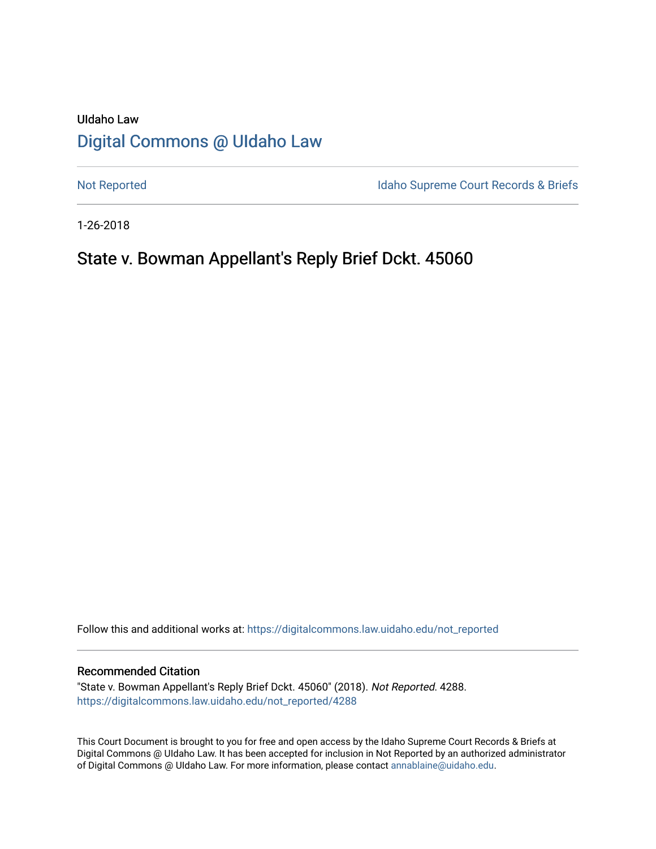# UIdaho Law [Digital Commons @ UIdaho Law](https://digitalcommons.law.uidaho.edu/)

[Not Reported](https://digitalcommons.law.uidaho.edu/not_reported) **Idaho Supreme Court Records & Briefs** 

1-26-2018

# State v. Bowman Appellant's Reply Brief Dckt. 45060

Follow this and additional works at: [https://digitalcommons.law.uidaho.edu/not\\_reported](https://digitalcommons.law.uidaho.edu/not_reported?utm_source=digitalcommons.law.uidaho.edu%2Fnot_reported%2F4288&utm_medium=PDF&utm_campaign=PDFCoverPages) 

#### Recommended Citation

"State v. Bowman Appellant's Reply Brief Dckt. 45060" (2018). Not Reported. 4288. [https://digitalcommons.law.uidaho.edu/not\\_reported/4288](https://digitalcommons.law.uidaho.edu/not_reported/4288?utm_source=digitalcommons.law.uidaho.edu%2Fnot_reported%2F4288&utm_medium=PDF&utm_campaign=PDFCoverPages)

This Court Document is brought to you for free and open access by the Idaho Supreme Court Records & Briefs at Digital Commons @ UIdaho Law. It has been accepted for inclusion in Not Reported by an authorized administrator of Digital Commons @ UIdaho Law. For more information, please contact [annablaine@uidaho.edu](mailto:annablaine@uidaho.edu).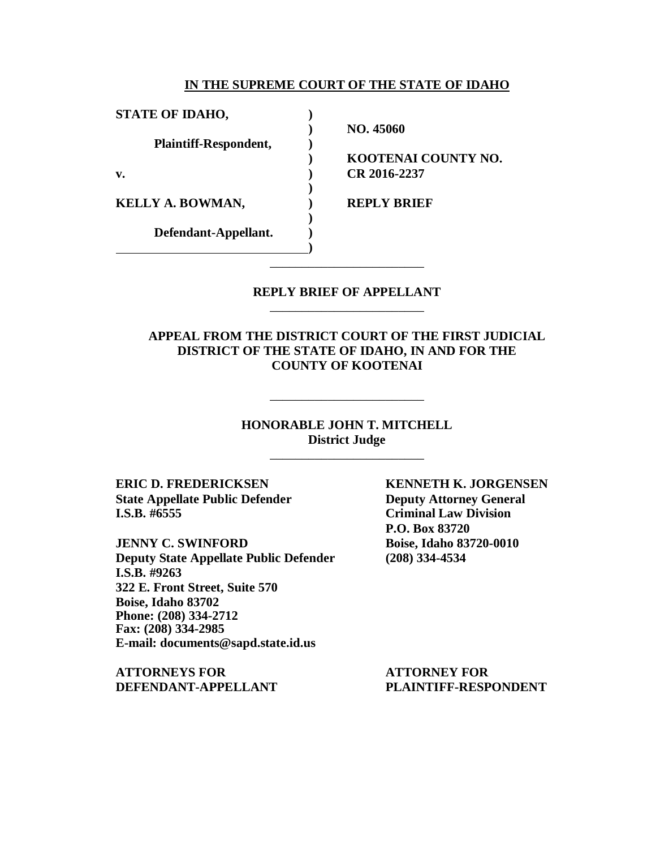#### **IN THE SUPREME COURT OF THE STATE OF IDAHO**

**)**

**)**

**)**

**STATE OF IDAHO, ) Plaintiff-Respondent, ) v. ) CR 2016-2237 KELLY A. BOWMAN,**  $\qquad \qquad$  **<b>REPLY BRIEF** 

**Defendant-Appellant. )**

**) NO. 45060**

**) KOOTENAI COUNTY NO.**

### **REPLY BRIEF OF APPELLANT** \_\_\_\_\_\_\_\_\_\_\_\_\_\_\_\_\_\_\_\_\_\_\_\_

\_\_\_\_\_\_\_\_\_\_\_\_\_\_\_\_\_\_\_\_\_\_\_\_

**APPEAL FROM THE DISTRICT COURT OF THE FIRST JUDICIAL DISTRICT OF THE STATE OF IDAHO, IN AND FOR THE COUNTY OF KOOTENAI**

> **HONORABLE JOHN T. MITCHELL District Judge**

> > \_\_\_\_\_\_\_\_\_\_\_\_\_\_\_\_\_\_\_\_\_\_\_\_

\_\_\_\_\_\_\_\_\_\_\_\_\_\_\_\_\_\_\_\_\_\_\_\_

**ERIC D. FREDERICKSEN KENNETH K. JORGENSEN State Appellate Public Defender Deputy Attorney General I.S.B. #6555 Criminal Law Division**

**JENNY C. SWINFORD Boise, Idaho 83720-0010 Deputy State Appellate Public Defender (208) 334-4534 I.S.B. #9263 322 E. Front Street, Suite 570 Boise, Idaho 83702 Phone: (208) 334-2712 Fax: (208) 334-2985 E-mail: documents@sapd.state.id.us**

**ATTORNEYS FOR ATTORNEY FOR DEFENDANT-APPELLANT PLAINTIFF-RESPONDENT**

**P.O. Box 83720**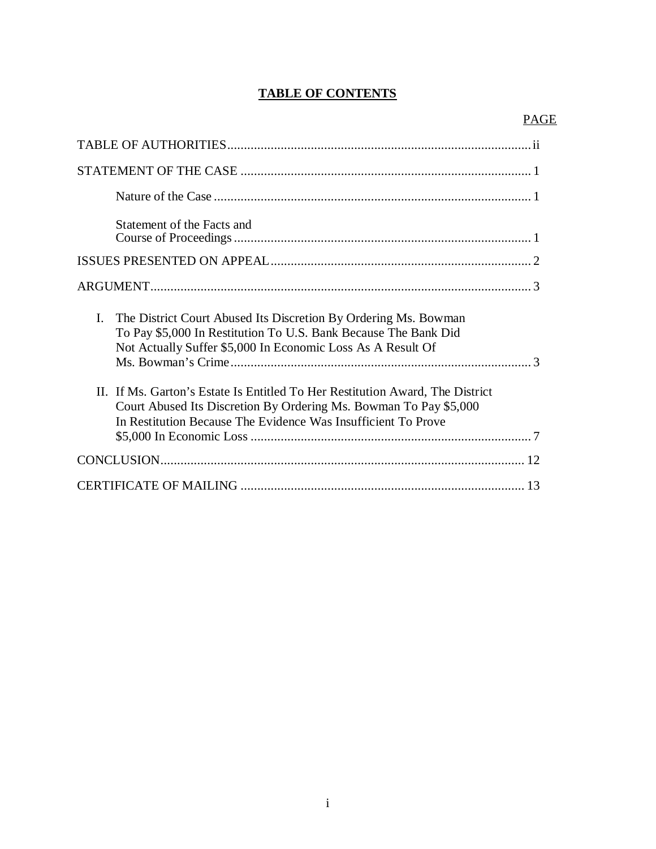# **TABLE OF CONTENTS**

| Statement of the Facts and                                                                                                                                                                                          |
|---------------------------------------------------------------------------------------------------------------------------------------------------------------------------------------------------------------------|
|                                                                                                                                                                                                                     |
|                                                                                                                                                                                                                     |
| I.<br>The District Court Abused Its Discretion By Ordering Ms. Bowman<br>To Pay \$5,000 In Restitution To U.S. Bank Because The Bank Did<br>Not Actually Suffer \$5,000 In Economic Loss As A Result Of             |
| II. If Ms. Garton's Estate Is Entitled To Her Restitution Award, The District<br>Court Abused Its Discretion By Ordering Ms. Bowman To Pay \$5,000<br>In Restitution Because The Evidence Was Insufficient To Prove |
|                                                                                                                                                                                                                     |
|                                                                                                                                                                                                                     |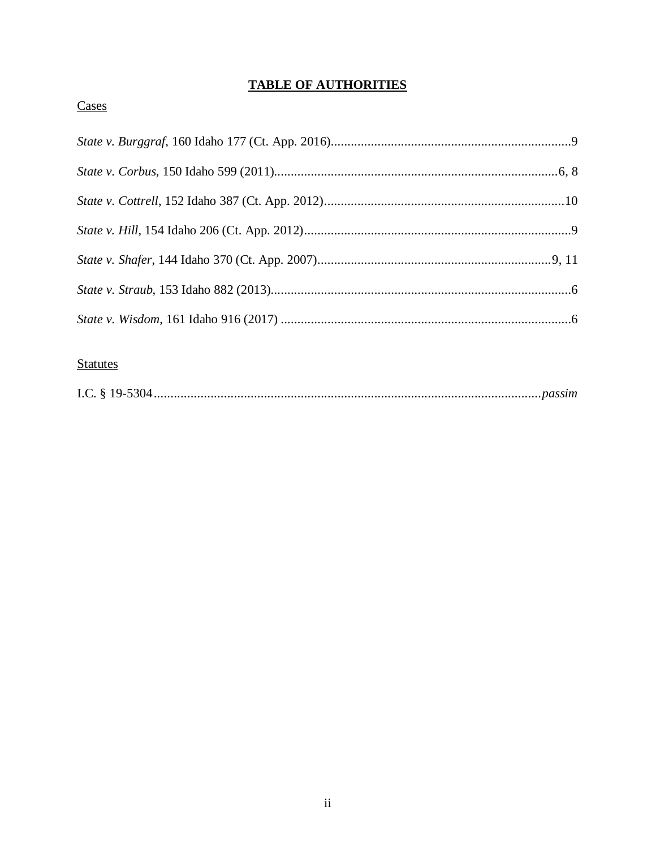# **TABLE OF AUTHORITIES**

# Cases

# **Statutes**

|--|--|--|--|--|--|--|--|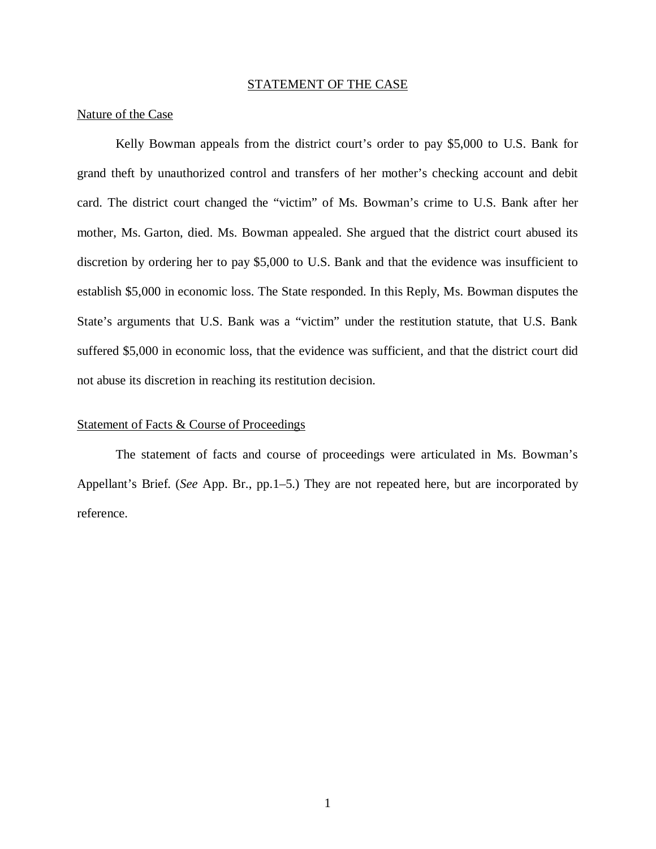#### STATEMENT OF THE CASE

#### Nature of the Case

Kelly Bowman appeals from the district court's order to pay \$5,000 to U.S. Bank for grand theft by unauthorized control and transfers of her mother's checking account and debit card. The district court changed the "victim" of Ms. Bowman's crime to U.S. Bank after her mother, Ms. Garton, died. Ms. Bowman appealed. She argued that the district court abused its discretion by ordering her to pay \$5,000 to U.S. Bank and that the evidence was insufficient to establish \$5,000 in economic loss. The State responded. In this Reply, Ms. Bowman disputes the State's arguments that U.S. Bank was a "victim" under the restitution statute, that U.S. Bank suffered \$5,000 in economic loss, that the evidence was sufficient, and that the district court did not abuse its discretion in reaching its restitution decision.

#### Statement of Facts & Course of Proceedings

The statement of facts and course of proceedings were articulated in Ms. Bowman's Appellant's Brief. (*See* App. Br., pp.1–5.) They are not repeated here, but are incorporated by reference.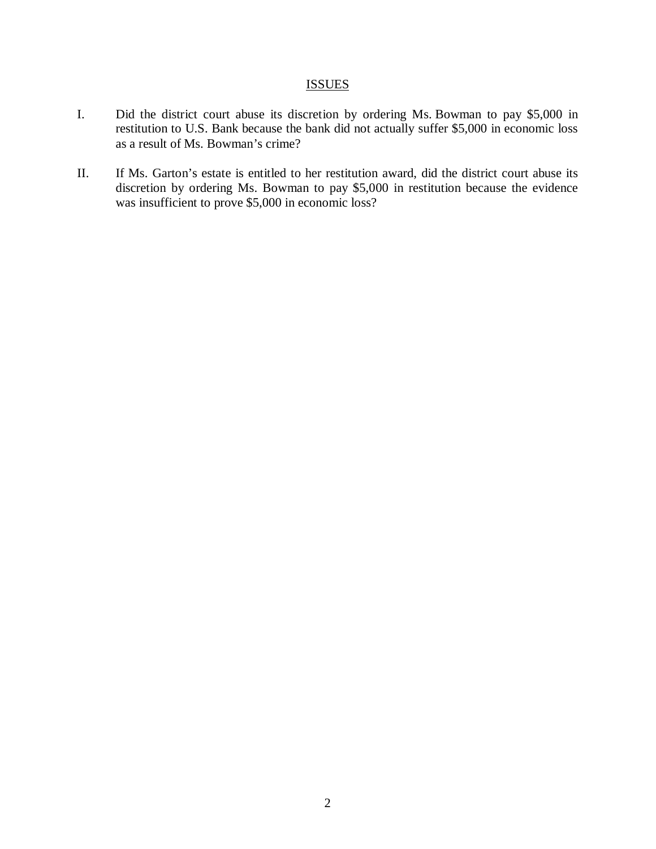## **ISSUES**

- I. Did the district court abuse its discretion by ordering Ms. Bowman to pay \$5,000 in restitution to U.S. Bank because the bank did not actually suffer \$5,000 in economic loss as a result of Ms. Bowman's crime?
- II. If Ms. Garton's estate is entitled to her restitution award, did the district court abuse its discretion by ordering Ms. Bowman to pay \$5,000 in restitution because the evidence was insufficient to prove \$5,000 in economic loss?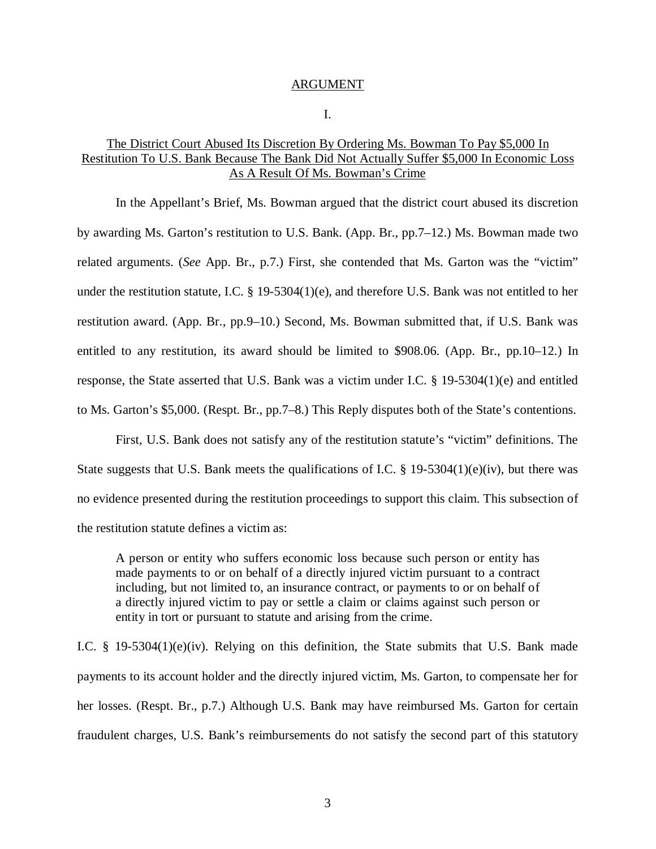#### ARGUMENT

I.

### The District Court Abused Its Discretion By Ordering Ms. Bowman To Pay \$5,000 In Restitution To U.S. Bank Because The Bank Did Not Actually Suffer \$5,000 In Economic Loss As A Result Of Ms. Bowman's Crime

In the Appellant's Brief, Ms. Bowman argued that the district court abused its discretion by awarding Ms. Garton's restitution to U.S. Bank. (App. Br., pp.7–12.) Ms. Bowman made two related arguments. (*See* App. Br., p.7.) First, she contended that Ms. Garton was the "victim" under the restitution statute, I.C. § 19-5304(1)(e), and therefore U.S. Bank was not entitled to her restitution award. (App. Br., pp.9–10.) Second, Ms. Bowman submitted that, if U.S. Bank was entitled to any restitution, its award should be limited to \$908.06. (App. Br., pp.10–12.) In response, the State asserted that U.S. Bank was a victim under I.C. § 19-5304(1)(e) and entitled to Ms. Garton's \$5,000. (Respt. Br., pp.7–8.) This Reply disputes both of the State's contentions.

First, U.S. Bank does not satisfy any of the restitution statute's "victim" definitions. The State suggests that U.S. Bank meets the qualifications of I.C. § 19-5304(1)(e)(iv), but there was no evidence presented during the restitution proceedings to support this claim. This subsection of the restitution statute defines a victim as:

A person or entity who suffers economic loss because such person or entity has made payments to or on behalf of a directly injured victim pursuant to a contract including, but not limited to, an insurance contract, or payments to or on behalf of a directly injured victim to pay or settle a claim or claims against such person or entity in tort or pursuant to statute and arising from the crime.

I.C. § 19-5304(1)(e)(iv). Relying on this definition, the State submits that U.S. Bank made payments to its account holder and the directly injured victim, Ms. Garton, to compensate her for her losses. (Respt. Br., p.7.) Although U.S. Bank may have reimbursed Ms. Garton for certain fraudulent charges, U.S. Bank's reimbursements do not satisfy the second part of this statutory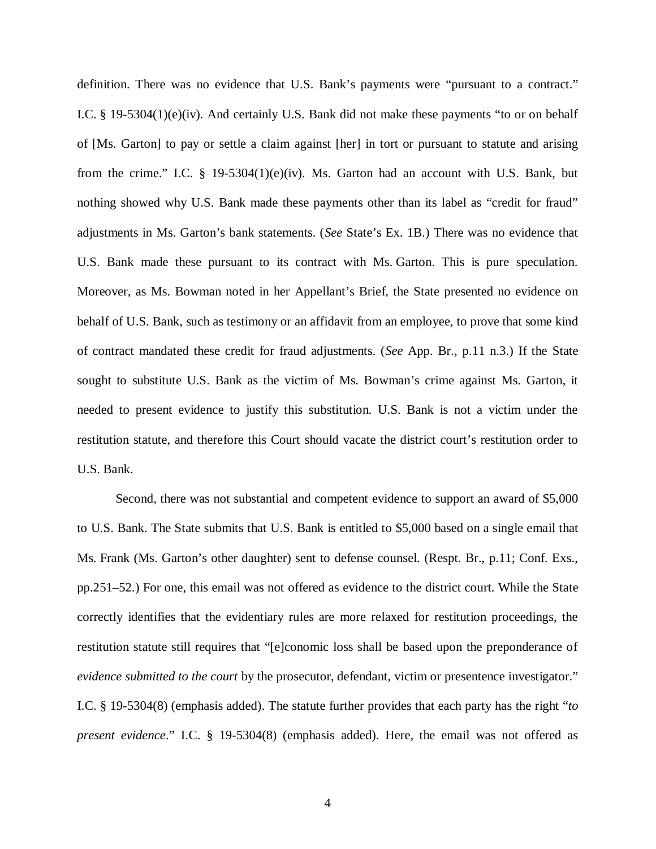definition. There was no evidence that U.S. Bank's payments were "pursuant to a contract." I.C. § 19-5304(1)(e)(iv). And certainly U.S. Bank did not make these payments "to or on behalf of [Ms. Garton] to pay or settle a claim against [her] in tort or pursuant to statute and arising from the crime." I.C.  $\S$  19-5304(1)(e)(iv). Ms. Garton had an account with U.S. Bank, but nothing showed why U.S. Bank made these payments other than its label as "credit for fraud" adjustments in Ms. Garton's bank statements. (*See* State's Ex. 1B.) There was no evidence that U.S. Bank made these pursuant to its contract with Ms. Garton. This is pure speculation. Moreover, as Ms. Bowman noted in her Appellant's Brief, the State presented no evidence on behalf of U.S. Bank, such as testimony or an affidavit from an employee, to prove that some kind of contract mandated these credit for fraud adjustments. (*See* App. Br., p.11 n.3.) If the State sought to substitute U.S. Bank as the victim of Ms. Bowman's crime against Ms. Garton, it needed to present evidence to justify this substitution. U.S. Bank is not a victim under the restitution statute, and therefore this Court should vacate the district court's restitution order to U.S. Bank.

Second, there was not substantial and competent evidence to support an award of \$5,000 to U.S. Bank. The State submits that U.S. Bank is entitled to \$5,000 based on a single email that Ms. Frank (Ms. Garton's other daughter) sent to defense counsel. (Respt. Br., p.11; Conf. Exs., pp.251–52.) For one, this email was not offered as evidence to the district court. While the State correctly identifies that the evidentiary rules are more relaxed for restitution proceedings, the restitution statute still requires that "[e]conomic loss shall be based upon the preponderance of *evidence submitted to the court* by the prosecutor, defendant, victim or presentence investigator." I.C. § 19-5304(8) (emphasis added). The statute further provides that each party has the right "*to present evidence*." I.C. § 19-5304(8) (emphasis added). Here, the email was not offered as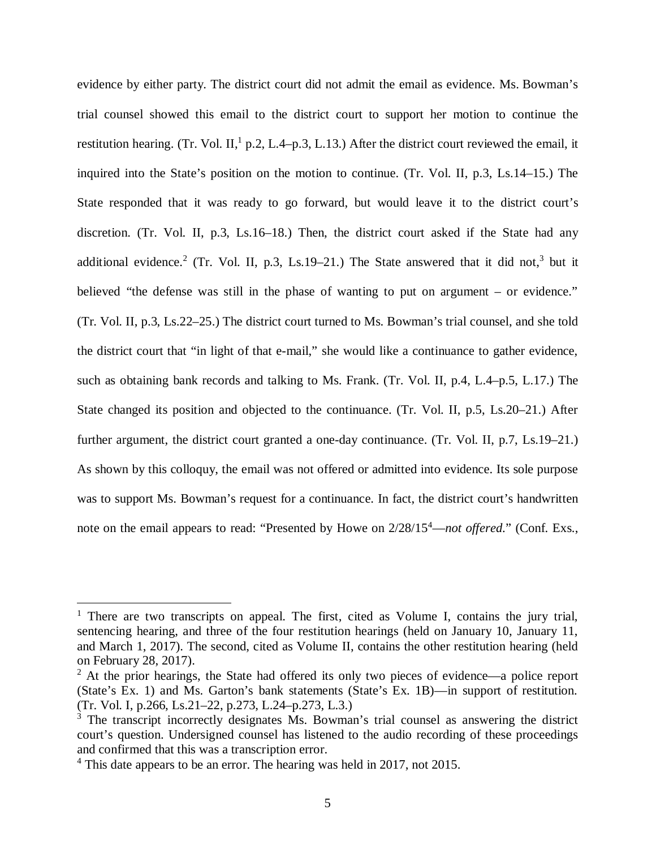evidence by either party. The district court did not admit the email as evidence. Ms. Bowman's trial counsel showed this email to the district court to support her motion to continue the restitution hearing. (Tr. Vol. II,<sup>[1](#page-8-0)</sup> p.2, L.4–p.3, L.13.) After the district court reviewed the email, it inquired into the State's position on the motion to continue. (Tr. Vol. II, p.3, Ls.14–15.) The State responded that it was ready to go forward, but would leave it to the district court's discretion. (Tr. Vol. II, p.3, Ls.16–18.) Then, the district court asked if the State had any additional evidence.<sup>[2](#page-8-1)</sup> (Tr. Vol. II, p.[3](#page-8-2), Ls.19–21.) The State answered that it did not,<sup>3</sup> but it believed "the defense was still in the phase of wanting to put on argument – or evidence." (Tr. Vol. II, p.3, Ls.22–25.) The district court turned to Ms. Bowman's trial counsel, and she told the district court that "in light of that e-mail," she would like a continuance to gather evidence, such as obtaining bank records and talking to Ms. Frank. (Tr. Vol. II, p.4, L.4–p.5, L.17.) The State changed its position and objected to the continuance. (Tr. Vol. II, p.5, Ls.20–21.) After further argument, the district court granted a one-day continuance. (Tr. Vol. II, p.7, Ls.19–21.) As shown by this colloquy, the email was not offered or admitted into evidence. Its sole purpose was to support Ms. Bowman's request for a continuance. In fact, the district court's handwritten note on the email appears to read: "Presented by Howe on  $2/28/15^4$  $2/28/15^4$ —*not offered*." (Conf. Exs.,

<span id="page-8-0"></span><sup>&</sup>lt;sup>1</sup> There are two transcripts on appeal. The first, cited as Volume I, contains the jury trial, sentencing hearing, and three of the four restitution hearings (held on January 10, January 11, and March 1, 2017). The second, cited as Volume II, contains the other restitution hearing (held on February 28, 2017).

<span id="page-8-1"></span> $2$  At the prior hearings, the State had offered its only two pieces of evidence—a police report (State's Ex. 1) and Ms. Garton's bank statements (State's Ex. 1B)—in support of restitution. (Tr. Vol. I, p.266, Ls.21–22, p.273, L.24–p.273, L.3.)

<span id="page-8-2"></span> $3$  The transcript incorrectly designates Ms. Bowman's trial counsel as answering the district court's question. Undersigned counsel has listened to the audio recording of these proceedings and confirmed that this was a transcription error.

<span id="page-8-3"></span><sup>&</sup>lt;sup>4</sup> This date appears to be an error. The hearing was held in 2017, not 2015.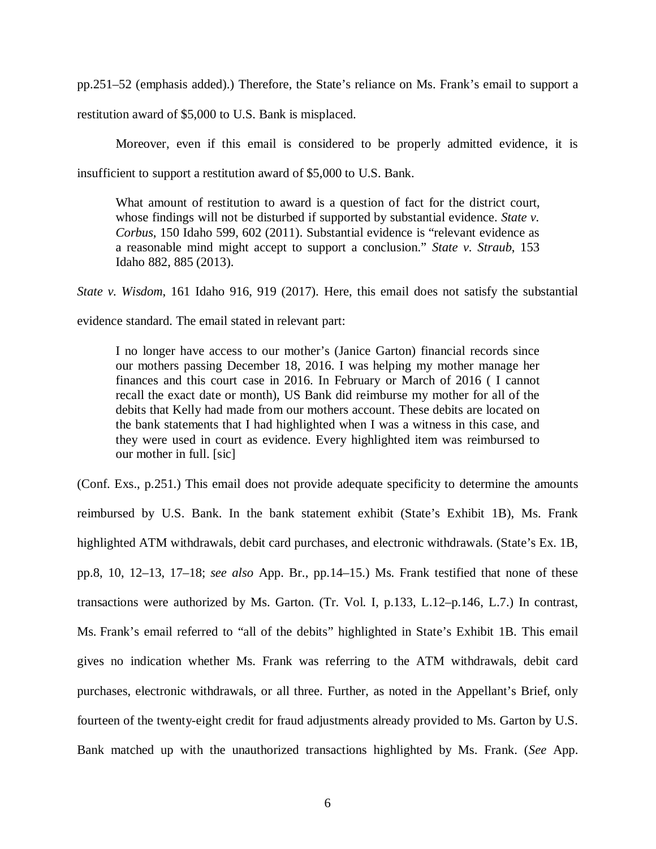pp.251–52 (emphasis added).) Therefore, the State's reliance on Ms. Frank's email to support a

restitution award of \$5,000 to U.S. Bank is misplaced.

Moreover, even if this email is considered to be properly admitted evidence, it is

insufficient to support a restitution award of \$5,000 to U.S. Bank.

What amount of restitution to award is a question of fact for the district court, whose findings will not be disturbed if supported by substantial evidence. *State v. Corbus*, 150 Idaho 599, 602 (2011). Substantial evidence is "relevant evidence as a reasonable mind might accept to support a conclusion." *State v. Straub*, 153 Idaho 882, 885 (2013).

*State v. Wisdom*, 161 Idaho 916, 919 (2017). Here, this email does not satisfy the substantial

evidence standard. The email stated in relevant part:

I no longer have access to our mother's (Janice Garton) financial records since our mothers passing December 18, 2016. I was helping my mother manage her finances and this court case in 2016. In February or March of 2016 ( I cannot recall the exact date or month), US Bank did reimburse my mother for all of the debits that Kelly had made from our mothers account. These debits are located on the bank statements that I had highlighted when I was a witness in this case, and they were used in court as evidence. Every highlighted item was reimbursed to our mother in full. [sic]

(Conf. Exs., p.251.) This email does not provide adequate specificity to determine the amounts reimbursed by U.S. Bank. In the bank statement exhibit (State's Exhibit 1B), Ms. Frank highlighted ATM withdrawals, debit card purchases, and electronic withdrawals. (State's Ex. 1B, pp.8, 10, 12–13, 17–18; *see also* App. Br., pp.14–15.) Ms. Frank testified that none of these transactions were authorized by Ms. Garton. (Tr. Vol. I, p.133, L.12–p.146, L.7.) In contrast, Ms. Frank's email referred to "all of the debits" highlighted in State's Exhibit 1B. This email gives no indication whether Ms. Frank was referring to the ATM withdrawals, debit card purchases, electronic withdrawals, or all three. Further, as noted in the Appellant's Brief, only fourteen of the twenty-eight credit for fraud adjustments already provided to Ms. Garton by U.S. Bank matched up with the unauthorized transactions highlighted by Ms. Frank. (*See* App.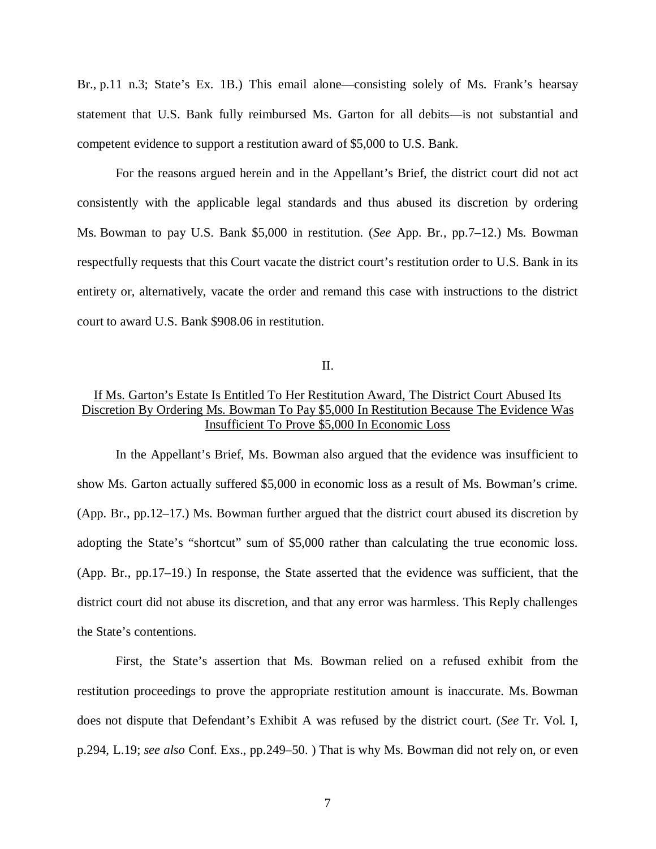Br., p.11 n.3; State's Ex. 1B.) This email alone—consisting solely of Ms. Frank's hearsay statement that U.S. Bank fully reimbursed Ms. Garton for all debits—is not substantial and competent evidence to support a restitution award of \$5,000 to U.S. Bank.

For the reasons argued herein and in the Appellant's Brief, the district court did not act consistently with the applicable legal standards and thus abused its discretion by ordering Ms. Bowman to pay U.S. Bank \$5,000 in restitution. (*See* App. Br., pp.7–12.) Ms. Bowman respectfully requests that this Court vacate the district court's restitution order to U.S. Bank in its entirety or, alternatively, vacate the order and remand this case with instructions to the district court to award U.S. Bank \$908.06 in restitution.

II.

## If Ms. Garton's Estate Is Entitled To Her Restitution Award, The District Court Abused Its Discretion By Ordering Ms. Bowman To Pay \$5,000 In Restitution Because The Evidence Was Insufficient To Prove \$5,000 In Economic Loss

In the Appellant's Brief, Ms. Bowman also argued that the evidence was insufficient to show Ms. Garton actually suffered \$5,000 in economic loss as a result of Ms. Bowman's crime. (App. Br., pp.12–17.) Ms. Bowman further argued that the district court abused its discretion by adopting the State's "shortcut" sum of \$5,000 rather than calculating the true economic loss. (App. Br., pp.17–19.) In response, the State asserted that the evidence was sufficient, that the district court did not abuse its discretion, and that any error was harmless. This Reply challenges the State's contentions.

First, the State's assertion that Ms. Bowman relied on a refused exhibit from the restitution proceedings to prove the appropriate restitution amount is inaccurate. Ms. Bowman does not dispute that Defendant's Exhibit A was refused by the district court. (*See* Tr. Vol. I, p.294, L.19; *see also* Conf. Exs., pp.249–50. ) That is why Ms. Bowman did not rely on, or even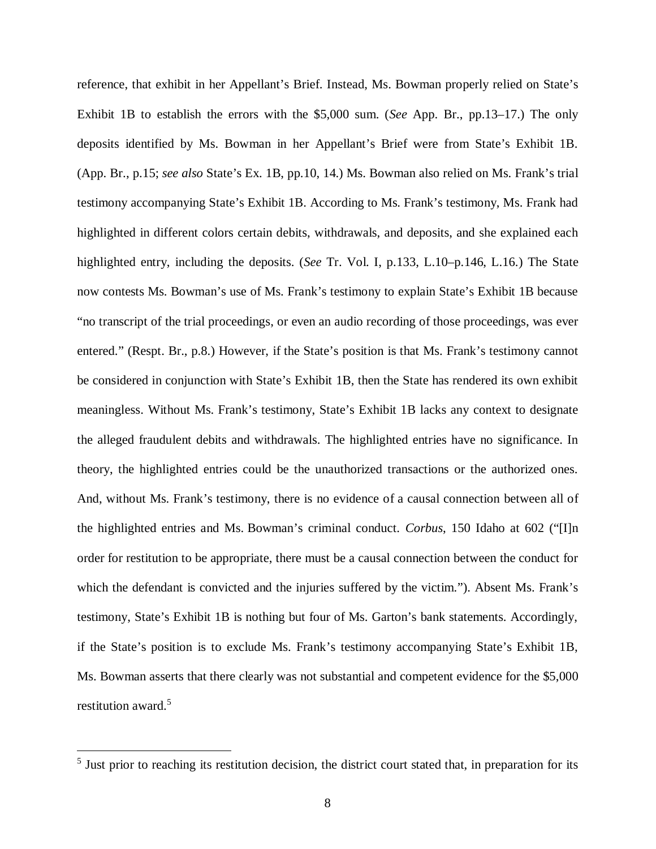reference, that exhibit in her Appellant's Brief. Instead, Ms. Bowman properly relied on State's Exhibit 1B to establish the errors with the \$5,000 sum. (*See* App. Br., pp.13–17.) The only deposits identified by Ms. Bowman in her Appellant's Brief were from State's Exhibit 1B. (App. Br., p.15; *see also* State's Ex. 1B, pp.10, 14.) Ms. Bowman also relied on Ms. Frank's trial testimony accompanying State's Exhibit 1B. According to Ms. Frank's testimony, Ms. Frank had highlighted in different colors certain debits, withdrawals, and deposits, and she explained each highlighted entry, including the deposits. (*See* Tr. Vol. I, p.133, L.10–p.146, L.16.) The State now contests Ms. Bowman's use of Ms. Frank's testimony to explain State's Exhibit 1B because "no transcript of the trial proceedings, or even an audio recording of those proceedings, was ever entered." (Respt. Br., p.8.) However, if the State's position is that Ms. Frank's testimony cannot be considered in conjunction with State's Exhibit 1B, then the State has rendered its own exhibit meaningless. Without Ms. Frank's testimony, State's Exhibit 1B lacks any context to designate the alleged fraudulent debits and withdrawals. The highlighted entries have no significance. In theory, the highlighted entries could be the unauthorized transactions or the authorized ones. And, without Ms. Frank's testimony, there is no evidence of a causal connection between all of the highlighted entries and Ms. Bowman's criminal conduct. *Corbus*, 150 Idaho at 602 ("[I]n order for restitution to be appropriate, there must be a causal connection between the conduct for which the defendant is convicted and the injuries suffered by the victim."). Absent Ms. Frank's testimony, State's Exhibit 1B is nothing but four of Ms. Garton's bank statements. Accordingly, if the State's position is to exclude Ms. Frank's testimony accompanying State's Exhibit 1B, Ms. Bowman asserts that there clearly was not substantial and competent evidence for the \$5,000 restitution award.<sup>[5](#page-11-0)</sup>

<span id="page-11-0"></span><sup>&</sup>lt;sup>5</sup> Just prior to reaching its restitution decision, the district court stated that, in preparation for its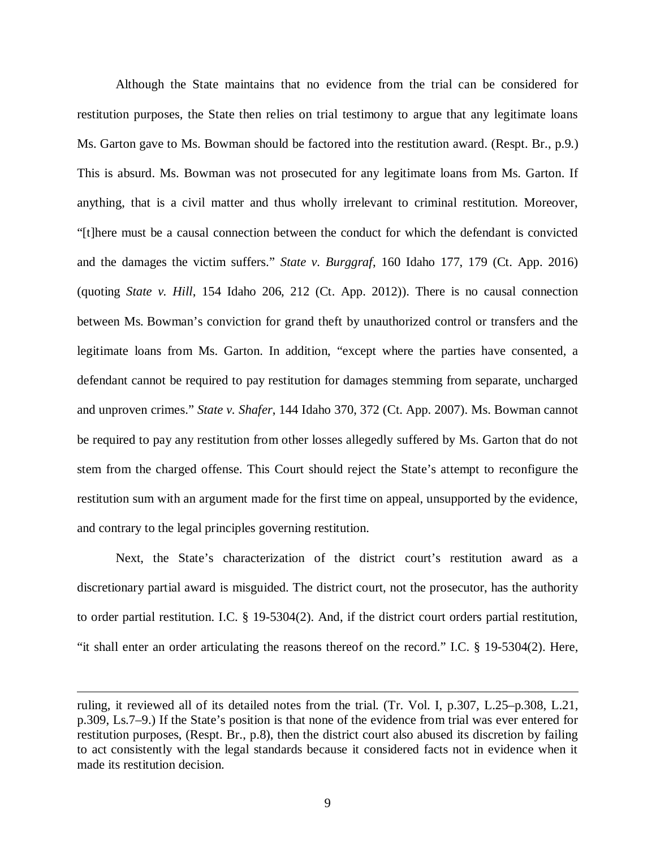Although the State maintains that no evidence from the trial can be considered for restitution purposes, the State then relies on trial testimony to argue that any legitimate loans Ms. Garton gave to Ms. Bowman should be factored into the restitution award. (Respt. Br., p.9.) This is absurd. Ms. Bowman was not prosecuted for any legitimate loans from Ms. Garton. If anything, that is a civil matter and thus wholly irrelevant to criminal restitution. Moreover, "[t]here must be a causal connection between the conduct for which the defendant is convicted and the damages the victim suffers." *State v. Burggraf*, 160 Idaho 177, 179 (Ct. App. 2016) (quoting *State v. Hill*, 154 Idaho 206, 212 (Ct. App. 2012)). There is no causal connection between Ms. Bowman's conviction for grand theft by unauthorized control or transfers and the legitimate loans from Ms. Garton. In addition, "except where the parties have consented, a defendant cannot be required to pay restitution for damages stemming from separate, uncharged and unproven crimes." *State v. Shafer*, 144 Idaho 370, 372 (Ct. App. 2007). Ms. Bowman cannot be required to pay any restitution from other losses allegedly suffered by Ms. Garton that do not stem from the charged offense. This Court should reject the State's attempt to reconfigure the restitution sum with an argument made for the first time on appeal, unsupported by the evidence, and contrary to the legal principles governing restitution.

Next, the State's characterization of the district court's restitution award as a discretionary partial award is misguided. The district court, not the prosecutor, has the authority to order partial restitution. I.C. § 19-5304(2). And, if the district court orders partial restitution, "it shall enter an order articulating the reasons thereof on the record." I.C. § 19-5304(2). Here,

ruling, it reviewed all of its detailed notes from the trial. (Tr. Vol. I, p.307, L.25–p.308, L.21, p.309, Ls.7–9.) If the State's position is that none of the evidence from trial was ever entered for restitution purposes, (Respt. Br., p.8), then the district court also abused its discretion by failing to act consistently with the legal standards because it considered facts not in evidence when it made its restitution decision.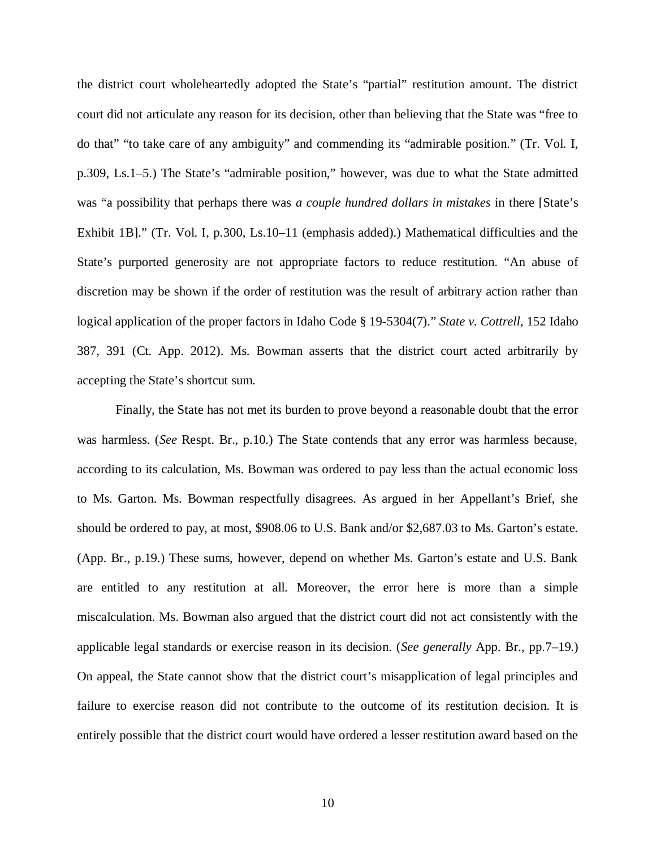the district court wholeheartedly adopted the State's "partial" restitution amount. The district court did not articulate any reason for its decision, other than believing that the State was "free to do that" "to take care of any ambiguity" and commending its "admirable position." (Tr. Vol. I, p.309, Ls.1–5.) The State's "admirable position," however, was due to what the State admitted was "a possibility that perhaps there was *a couple hundred dollars in mistakes* in there [State's Exhibit 1B]." (Tr. Vol. I, p.300, Ls.10–11 (emphasis added).) Mathematical difficulties and the State's purported generosity are not appropriate factors to reduce restitution. "An abuse of discretion may be shown if the order of restitution was the result of arbitrary action rather than logical application of the proper factors in Idaho Code § 19-5304(7)." *State v. Cottrell*, 152 Idaho 387, 391 (Ct. App. 2012). Ms. Bowman asserts that the district court acted arbitrarily by accepting the State's shortcut sum.

Finally, the State has not met its burden to prove beyond a reasonable doubt that the error was harmless. (*See* Respt. Br., p.10.) The State contends that any error was harmless because, according to its calculation, Ms. Bowman was ordered to pay less than the actual economic loss to Ms. Garton. Ms. Bowman respectfully disagrees. As argued in her Appellant's Brief, she should be ordered to pay, at most, \$908.06 to U.S. Bank and/or \$2,687.03 to Ms. Garton's estate. (App. Br., p.19.) These sums, however, depend on whether Ms. Garton's estate and U.S. Bank are entitled to any restitution at all. Moreover, the error here is more than a simple miscalculation. Ms. Bowman also argued that the district court did not act consistently with the applicable legal standards or exercise reason in its decision. (*See generally* App. Br., pp.7–19.) On appeal, the State cannot show that the district court's misapplication of legal principles and failure to exercise reason did not contribute to the outcome of its restitution decision. It is entirely possible that the district court would have ordered a lesser restitution award based on the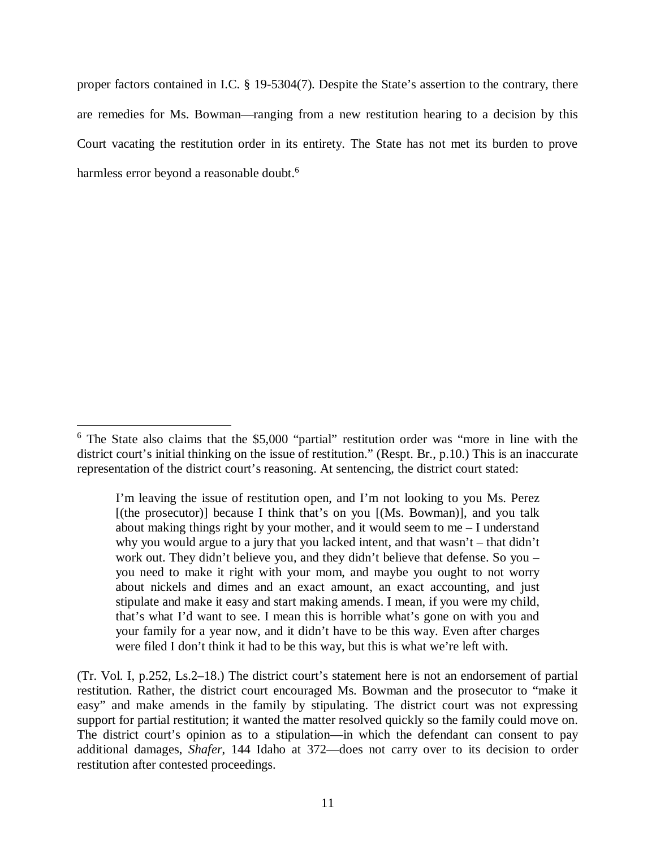proper factors contained in I.C. § 19-5304(7). Despite the State's assertion to the contrary, there are remedies for Ms. Bowman—ranging from a new restitution hearing to a decision by this Court vacating the restitution order in its entirety. The State has not met its burden to prove harmless error beyond a reasonable doubt.<sup>[6](#page-14-0)</sup>

<span id="page-14-0"></span><sup>&</sup>lt;sup>6</sup> The State also claims that the \$5,000 "partial" restitution order was "more in line with the district court's initial thinking on the issue of restitution." (Respt. Br., p.10.) This is an inaccurate representation of the district court's reasoning. At sentencing, the district court stated:

I'm leaving the issue of restitution open, and I'm not looking to you Ms. Perez [(the prosecutor)] because I think that's on you [(Ms. Bowman)], and you talk about making things right by your mother, and it would seem to me – I understand why you would argue to a jury that you lacked intent, and that wasn't – that didn't work out. They didn't believe you, and they didn't believe that defense. So you – you need to make it right with your mom, and maybe you ought to not worry about nickels and dimes and an exact amount, an exact accounting, and just stipulate and make it easy and start making amends. I mean, if you were my child, that's what I'd want to see. I mean this is horrible what's gone on with you and your family for a year now, and it didn't have to be this way. Even after charges were filed I don't think it had to be this way, but this is what we're left with.

<sup>(</sup>Tr. Vol. I, p.252, Ls.2–18.) The district court's statement here is not an endorsement of partial restitution. Rather, the district court encouraged Ms. Bowman and the prosecutor to "make it easy" and make amends in the family by stipulating. The district court was not expressing support for partial restitution; it wanted the matter resolved quickly so the family could move on. The district court's opinion as to a stipulation—in which the defendant can consent to pay additional damages, *Shafer*, 144 Idaho at 372—does not carry over to its decision to order restitution after contested proceedings.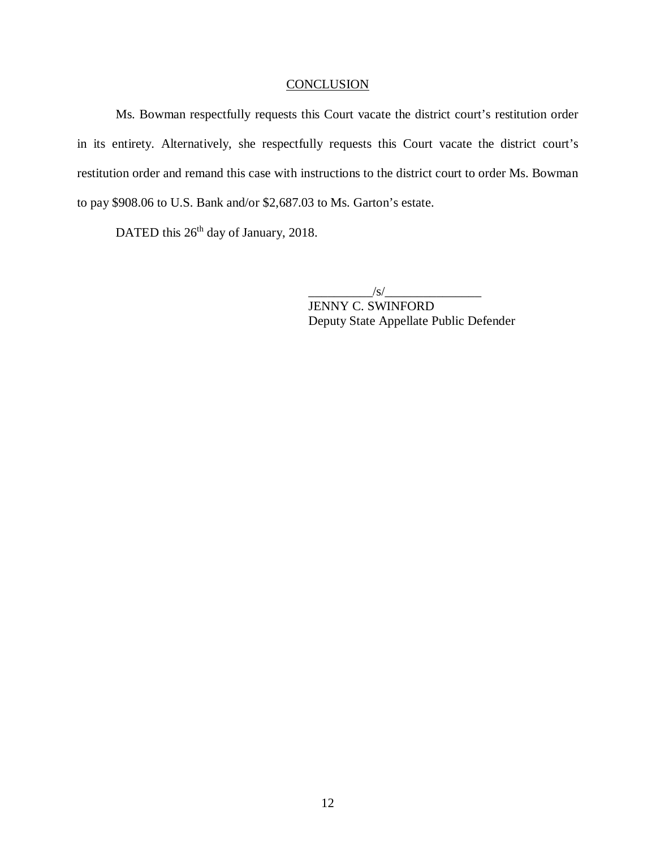## **CONCLUSION**

Ms. Bowman respectfully requests this Court vacate the district court's restitution order in its entirety. Alternatively, she respectfully requests this Court vacate the district court's restitution order and remand this case with instructions to the district court to order Ms. Bowman to pay \$908.06 to U.S. Bank and/or \$2,687.03 to Ms. Garton's estate.

DATED this 26<sup>th</sup> day of January, 2018.

 $\angle$ s/

JENNY C. SWINFORD Deputy State Appellate Public Defender